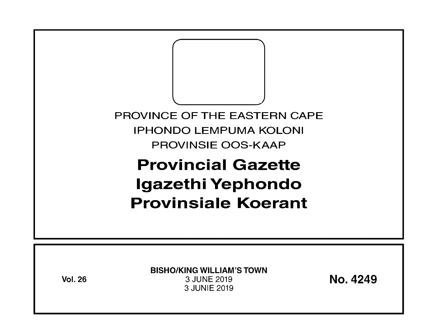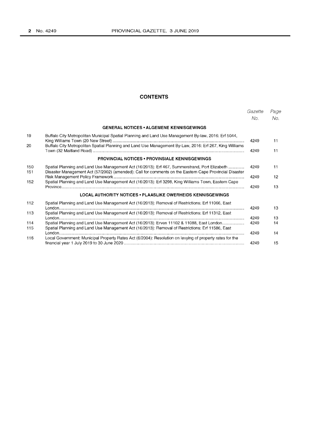### **CONTENTS**

|            |                                                                                                                                                                                                         | Gazette<br>No. | Page<br>No. |
|------------|---------------------------------------------------------------------------------------------------------------------------------------------------------------------------------------------------------|----------------|-------------|
|            | <b>GENERAL NOTICES • ALGEMENE KENNISGEWINGS</b>                                                                                                                                                         |                |             |
| 19         | Buffalo City Metropolitan Municipal Spatial Planning and Land Use Management By-law, 2016: Erf 5044,                                                                                                    | 4249           | 11          |
| 20         | Buffalo City Metropolitan Spatial Planning and Land Use Management By-Law, 2016: Erf 267, King Williams                                                                                                 | 4249           | 11          |
|            | <b>PROVINCIAL NOTICES • PROVINSIALE KENNISGEWINGS</b>                                                                                                                                                   |                |             |
| 150<br>151 | Spatial Planning and Land Use Management Act (16/2013): Erf 467, Summerstrand, Port Elizabeth<br>Disaster Management Act (57/2002) (amended): Call for comments on the Eastern Cape Provincial Disaster | 4249           | 11          |
|            |                                                                                                                                                                                                         | 4249           | 12          |
| 152        | Spatial Planning and Land Use Management Act (16/2013): Erf 3298, King Williams Town, Eastern Cape                                                                                                      | 4249           | 13          |
|            | LOCAL AUTHORITY NOTICES • PLAASLIKE OWERHEIDS KENNISGEWINGS                                                                                                                                             |                |             |
| 112        | Spatial Planning and Land Use Management Act (16/2013): Removal of Restrictions: Erf 11066, East                                                                                                        | 4249           | 13          |
| 113        | Spatial Planning and Land Use Management Act (16/2013): Removal of Restrictions: Erf 11312, East                                                                                                        | 4249           | 13          |
| 114<br>115 | Spatial Planning and Land Use Management Act (16/2013): Erven 11102 & 11088, East London<br>Spatial Planning and Land Use Management Act (16/2013): Removal of Restrictions: Erf 11586, East            | 4249           | 14          |
| 116        | Local Government: Municipal Property Rates Act (6/2004): Resolution on levying of property rates for the                                                                                                | 4249           | 14          |
|            |                                                                                                                                                                                                         | 4249           | 15          |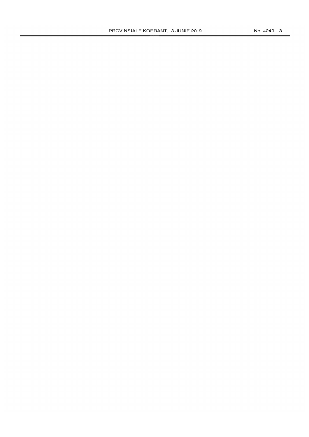$\ddot{\phantom{a}}$ 

 $\tilde{\phantom{a}}$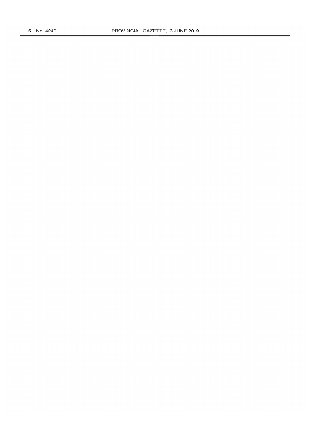$\Box$ 

 $\overline{\phantom{a}}$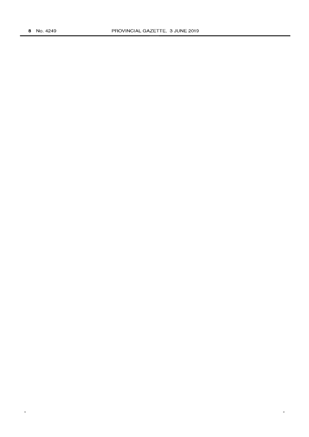$\Box$ 

 $\overline{\phantom{a}}$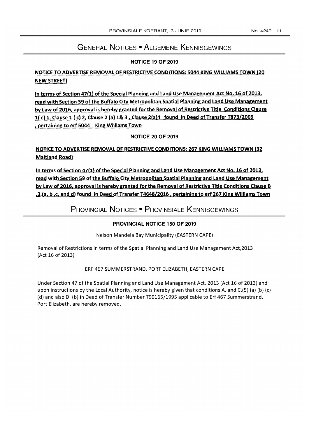# GENERAL NOTICES • ALGEMENE KENNISGEWINGS

### NOTICE 19 OF 2019

## NOTICE TO ADVERTISE REMOVAL OF RESTRICTIVE CONDITIONS: 5044 KING WILLIAMS TOWN (20 NEW STREET)

In terms of Section 47(1) of the Special Planning and Land Use Management Act No. 16 of 2013, read with Section 59 of the Buffalo City Metropolitan Spatial Planning and Land Use Management by Law of 2016, approval is hereby granted for the Removal of Restrictive Title Conditions Clause 1(c) 1, Clause 1 (c) 2, Clause 2 (a)  $1\& 3$ , Clause  $2(a)4$  found in Deed of Transfer T873/2009 , pertaining to erf 5044 King Williams Town

NOTICE 20 OF 2019

## NOTICE TO ADVERTISE REMOVAL OF RESTRICTIVE CONDITIONS: 267 KING WILLIAMS TOWN (32 Maitland Road)

In terms of Section 47(1) of the Special Planning and Land Use Management Act No. 16 of 2013, read with Section 59 of the Buffalo City Metropolitan Spatial Planning and Land Use Management by Law of 2016, approval is hereby granted for the Removal of Restrictive Title Conditions Clause B .3.(a, b,c, and d) found in Deed of Transfer T4648/2016, pertaining to erf 267 King Williams Town

# PROVINCIAL NOTICES • PROVINSIALE KENNISGEWINGS

### PROVINCIAL NOTICE 150 OF 2019

Nelson Mandela Bay Municipality (EASTERN CAPE)

Removal of Restrictions in terms of the Spatial Planning and Land Use Management Act,2013 (Act 16 of 2013)

### ERF 467 SUMMERSTRAND, PORT ELIZABETH, EASTERN CAPE

Under Section 47 of the Spatial Planning and Land Use Management Act, 2013 (Act 16 of 2013) and upon instructions by the Local Authority, notice is hereby given that conditions A. and C.(5) (a) (b) (c) (d) and also D. (b) in Deed of Transfer Number T90165/1995 applicable to Erf 467 Summerstrand, Port Elizabeth, are hereby removed.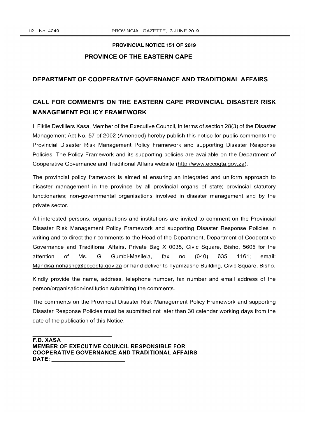# **PROVINCIAL NOTICE 151 OF 2019 PROVINCE OF THE EASTERN CAPE**

### **DEPARTMENT OF COOPERATIVE GOVERNANCE AND TRADITIONAL AFFAIRS**

# **CALL FOR COMMENTS ON THE EASTERN CAPE PROVINCIAL DISASTER RISK MANAGEMENT POLICY FRAMEWORK**

I, Fikile Devilliers Xasa, Member of the Executive Council, in terms of section 28(3) of the Disaster Management Act No. 57 of 2002 (Amended) hereby publish this notice for public comments the Provincial Disaster Risk Management Policy Framework and supporting Disaster Response Policies. The Policy Framework and its supporting policies are available on the Department of Cooperative Governance and Traditional Affairs website (http://www.eccogta.gov.za).

The provincial policy framework is aimed at ensuring an integrated and uniform approach to disaster management in the province by all provincial organs of state; provincial statutory functionaries; non-governmental organisations involved in disaster management and by the private sector.

All interested persons, organisations and institutions are invited to comment on the Provincial Disaster Risk Management Policy Framework and supporting Disaster Response Policies in writing and to direct their comments to the Head of the Department, Department of Cooperative Governance and Traditional Affairs, Private Bag X 0035, Civic Square, Bisho, 5605 for the attention of Ms. G Gumbi-Masilela, fax no (040) 635 1161; email: Mandisa.nohashe@eccogta.gov.za or hand deliver to Tyamzashe Building, Civic Square, Bisho.

Kindly provide the name, address, telephone number, fax number and email address of the person/organisation/institution submitting the comments.

The comments on the Provincial Disaster Risk Management Policy Framework and supporting Disaster Response Policies must be submitted not later than 30 calendar working days from the date of the publication of this Notice.

**F.D. XASA MEMBER OF EXECUTIVE COUNCIL RESPONSIBLE FOR**  COOPERATIVE GOVERNANCE AND TRADITIONAL AFFAIRS<br>DATE: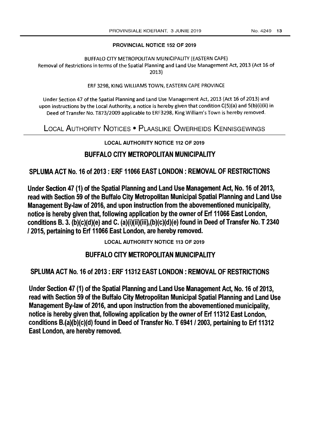### PROVINCIAL NOTICE 152 OF 2019

### BUFFALO CITY METROPOLITAN MUNICIPALITY (EASTERN CAPE)

Removal of Restrictions in terms of the Spatial Planning and Land Use Management Act, 2013 (Act 16 of 2013)

### ERF 3298, KING WILLIAMS TOWN, EASTERN CAPE PROVINCE

Under Section 47 of the Spatial Planning and Land Use Management Act, 2013 (Act 16 of 2013) and upon instructions by the Local Authority, a notice is hereby given that condition C(S)(a) and S(b)(i)(ii) in Deed of Transfer No. T873/2009 applicable to ERF3298, King William's Town is hereby removed.

LOCAL AUTHORITY NOTICES • PLAASLIKE OWERHEIDS KENNISGEWINGS

### LOCAL AUTHORITY NOTICE 112 OF 2019

# BUFFALO CITY METROPOLITAN MUNICIPALITY

# SPLUMAACT No. 16 of 2013: ERF 11066 EAST LONDON: REMOVAL OF RESTRICTIONS

Under Section 47 (1) of the Spatial Planning and Land Use Management Act, No. 16 of 2013, read with Section 59 of the Buffalo City Metropolitan Municipal Spatial Planning and Land Use Management By-law of 2016, and upon instruction from the abovementioned municipality, notice is hereby given that, following application by the owner of Erf 11066 East London, conditions B. 3. (b)(c)(d)(e) and C. (a)(i)(ii)(iii),(b)(c)(d)(e) found in Deed of Transfer No. T 2340 12015, pertaining to Erf 11066 East London, are hereby removed.

LOCAL AUTHORITY NOTICE 113 OF 2019

# BUFFALO CITY METROPOLITAN MUNICIPALITY

# SPLUMA ACT No. 16 of 2013: ERF 11312 EAST LONDON: REMOVAL OF RESTRICTIONS

Under Section 47 (1) of the Spatial Planning and Land Use Management Act, No. 16 of 2013, read with Section 59 of the Buffalo City Metropolitan Municipal Spatial Planning and Land Use Management By-law of 2016, and upon instruction from the abovementioned municipality, notice is hereby given that, following application by the owner of Erf 11312 East London, conditions B.(a)(b)(c)(d) found in Deed of Transfer No. T 6941/2003, pertaining to Erf 11312 East London, are hereby removed.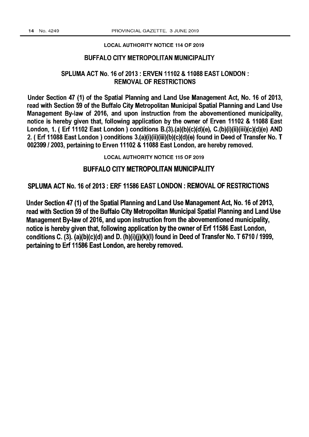#### LOCAL AUTHORITY NOTICE 114 OF 2019

### BUFFALO CITY METROPOLITAN MUNICIPALITY

## SPLUMAACT No. 16 of 2013: ERVEN 11102 & 11088 EAST LONDON: REMOVAL OF RESTRICTIONS

Under Section 47 (1) of the Spatial Planning and Land Use Management Act, No. 16 of 2013, read with Section 59 of the Buffalo City Metropolitan Municipal Spatial Planning and Land Use Management By-law of 2016, and upon instruction from the abovementioned municipality, notice is hereby given that, following application by the owner of Erven 11102 & 11088 East London, 1. ( Erf 11102 East London ) conditions B.(3).(a)(b)(c)(d)(e), C.(b)(i)(ii)(iii)(c)(d)(e) AND 2. ( Erf 11088 East london) conditions 3.(a)(i)(ii)(iii)(b)(c)(d)(e) found in Deed of Transfer No. T *002399/2003,* pertaining to Erven 11102 & 11088 East London, are hereby removed.

LOCAL AUTHORITY NOTICE 115 OF 2019

# BUFFALO CITY METROPOLITAN MUNICIPALITY

SPLUMA ACT No. 16 of 2013: ERF 11586 EAST LONDON: REMOVAL OF RESTRICTIONS

Under Section 47 (1) of the Spatial Planning and Land Use Management Act, No. 16 of 2013, read with Section 59 of the Buffalo City Metropolitan Municipal Spatial Planning and Land Use Management By-law of 2016, and upon instruction from the abovementioned municipality, notice is hereby given that, following application by the owner of Erf 11586 East London, conditions C. (3). (a)(b)(c)(d) and D. (h)(i)(i)(k)(l) found in Deed of Transfer No. T 6710 / 1999, pertaining to Erf 11586 East London, are hereby removed.